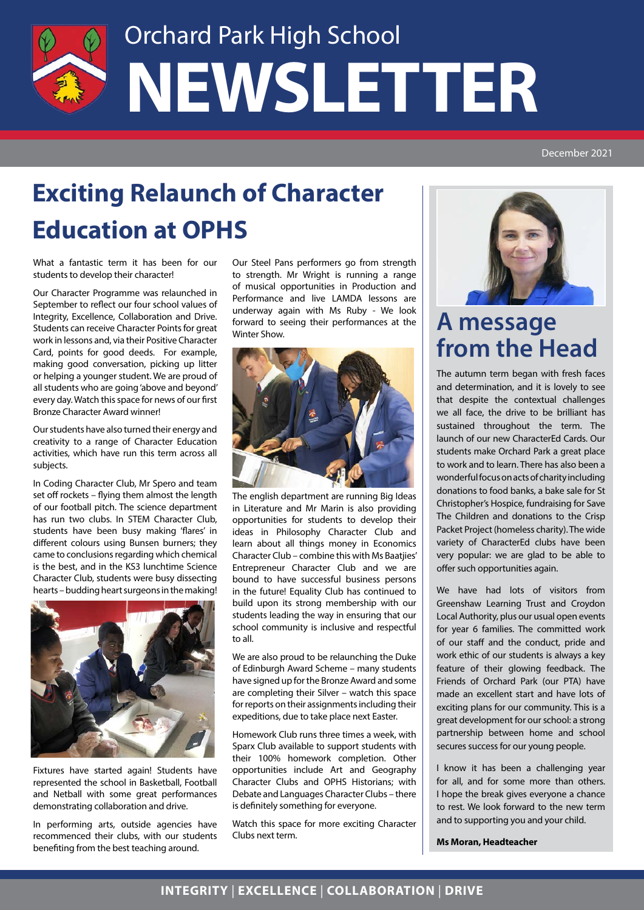

# Orchard Park High School **NEWSLETTER**

### **Exciting Relaunch of Character Education at OPHS**

What a fantastic term it has been for our students to develop their character!

Our Character Programme was relaunched in September to reflect our four school values of Integrity, Excellence, Collaboration and Drive. Students can receive Character Points for great work in lessons and, via their Positive Character Card, points for good deeds. For example, making good conversation, picking up litter or helping a younger student. We are proud of all students who are going 'above and beyond' every day. Watch this space for news of our first Bronze Character Award winner!

Our students have also turned their energy and creativity to a range of Character Education activities, which have run this term across all subjects.

In Coding Character Club, Mr Spero and team set off rockets – flying them almost the length of our football pitch. The science department has run two clubs. In STEM Character Club, students have been busy making 'flares' in different colours using Bunsen burners; they came to conclusions regarding which chemical is the best, and in the KS3 lunchtime Science Character Club, students were busy dissecting hearts – budding heart surgeons in the making!



Fixtures have started again! Students have represented the school in Basketball, Football and Netball with some great performances demonstrating collaboration and drive.

In performing arts, outside agencies have recommenced their clubs, with our students benefiting from the best teaching around.

Our Steel Pans performers go from strength to strength. Mr Wright is running a range of musical opportunities in Production and Performance and live LAMDA lessons are underway again with Ms Ruby - We look forward to seeing their performances at the Winter Show.



The english department are running Big Ideas in Literature and Mr Marin is also providing opportunities for students to develop their ideas in Philosophy Character Club and learn about all things money in Economics Character Club – combine this with Ms Baatjies' Entrepreneur Character Club and we are bound to have successful business persons in the future! Equality Club has continued to build upon its strong membership with our students leading the way in ensuring that our school community is inclusive and respectful to all.

We are also proud to be relaunching the Duke of Edinburgh Award Scheme – many students have signed up for the Bronze Award and some are completing their Silver – watch this space for reports on their assignments including their expeditions, due to take place next Easter.

Homework Club runs three times a week, with Sparx Club available to support students with their 100% homework completion. Other opportunities include Art and Geography Character Clubs and OPHS Historians; with Debate and Languages Character Clubs – there is definitely something for everyone.

Watch this space for more exciting Character Clubs next term.



#### **A message from the Head**

The autumn term began with fresh faces and determination, and it is lovely to see that despite the contextual challenges we all face, the drive to be brilliant has sustained throughout the term. The launch of our new CharacterEd Cards. Our students make Orchard Park a great place to work and to learn. There has also been a wonderful focus on acts of charity including donations to food banks, a bake sale for St Christopher's Hospice, fundraising for Save The Children and donations to the Crisp Packet Project (homeless charity). The wide variety of CharacterEd clubs have been very popular: we are glad to be able to offer such opportunities again.

We have had lots of visitors from Greenshaw Learning Trust and Croydon Local Authority, plus our usual open events for year 6 families. The committed work of our staff and the conduct, pride and work ethic of our students is always a key feature of their glowing feedback. The Friends of Orchard Park (our PTA) have made an excellent start and have lots of exciting plans for our community. This is a great development for our school: a strong partnership between home and school secures success for our young people.

I know it has been a challenging year for all, and for some more than others. I hope the break gives everyone a chance to rest. We look forward to the new term and to supporting you and your child.

**Ms Moran, Headteacher**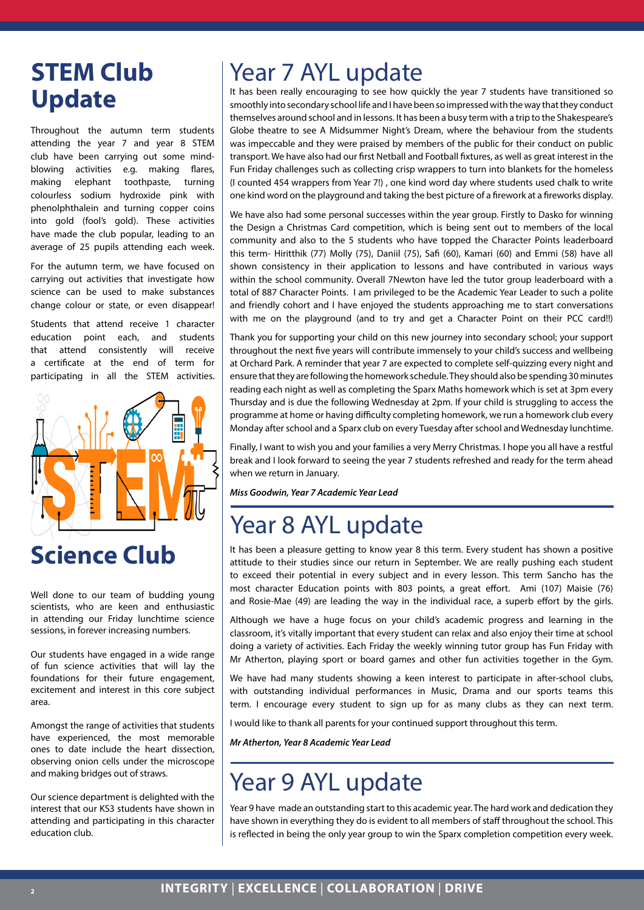## **Update**

Throughout the autumn term students attending the year 7 and year 8 STEM club have been carrying out some mindblowing activities e.g. making flares, making elephant toothpaste, turning colourless sodium hydroxide pink with phenolphthalein and turning copper coins into gold (fool's gold). These activities have made the club popular, leading to an average of 25 pupils attending each week.

For the autumn term, we have focused on carrying out activities that investigate how science can be used to make substances change colour or state, or even disappear!

Students that attend receive 1 character education point each, and students that attend consistently will receive a certificate at the end of term for participating in all the STEM activities.



#### **Science Club**

Well done to our team of budding young scientists, who are keen and enthusiastic in attending our Friday lunchtime science sessions, in forever increasing numbers.

Our students have engaged in a wide range of fun science activities that will lay the foundations for their future engagement, excitement and interest in this core subject area.

Amongst the range of activities that students have experienced, the most memorable ones to date include the heart dissection, observing onion cells under the microscope and making bridges out of straws.

Our science department is delighted with the interest that our KS3 students have shown in attending and participating in this character education club.

#### **STEM Club** | Year 7 AYL update

It has been really encouraging to see how quickly the year 7 students have transitioned so smoothly into secondary school life and I have been so impressed with the way that they conduct themselves around school and in lessons. It has been a busy term with a trip to the Shakespeare's Globe theatre to see A Midsummer Night's Dream, where the behaviour from the students was impeccable and they were praised by members of the public for their conduct on public transport. We have also had our first Netball and Football fixtures, as well as great interest in the Fun Friday challenges such as collecting crisp wrappers to turn into blankets for the homeless (I counted 454 wrappers from Year 7!) , one kind word day where students used chalk to write one kind word on the playground and taking the best picture of a firework at a fireworks display.

We have also had some personal successes within the year group. Firstly to Dasko for winning the Design a Christmas Card competition, which is being sent out to members of the local community and also to the 5 students who have topped the Character Points leaderboard this term- Hiritthik (77) Molly (75), Daniil (75), Safi (60), Kamari (60) and Emmi (58) have all shown consistency in their application to lessons and have contributed in various ways within the school community. Overall 7Newton have led the tutor group leaderboard with a total of 887 Character Points. I am privileged to be the Academic Year Leader to such a polite and friendly cohort and I have enjoyed the students approaching me to start conversations with me on the playground (and to try and get a Character Point on their PCC card!!)

Thank you for supporting your child on this new journey into secondary school; your support throughout the next five years will contribute immensely to your child's success and wellbeing at Orchard Park. A reminder that year 7 are expected to complete self-quizzing every night and ensure that they are following the homework schedule. They should also be spending 30 minutes reading each night as well as completing the Sparx Maths homework which is set at 3pm every Thursday and is due the following Wednesday at 2pm. If your child is struggling to access the programme at home or having difficulty completing homework, we run a homework club every Monday after school and a Sparx club on every Tuesday after school and Wednesday lunchtime.

Finally, I want to wish you and your families a very Merry Christmas. I hope you all have a restful break and I look forward to seeing the year 7 students refreshed and ready for the term ahead when we return in January.

*Miss Goodwin, Year 7 Academic Year Lead*

#### Year 8 AYL update

It has been a pleasure getting to know year 8 this term. Every student has shown a positive attitude to their studies since our return in September. We are really pushing each student to exceed their potential in every subject and in every lesson. This term Sancho has the most character Education points with 803 points, a great effort. Ami (107) Maisie (76) and Rosie-Mae (49) are leading the way in the individual race, a superb effort by the girls.

Although we have a huge focus on your child's academic progress and learning in the classroom, it's vitally important that every student can relax and also enjoy their time at school doing a variety of activities. Each Friday the weekly winning tutor group has Fun Friday with Mr Atherton, playing sport or board games and other fun activities together in the Gym.

We have had many students showing a keen interest to participate in after-school clubs, with outstanding individual performances in Music, Drama and our sports teams this term. I encourage every student to sign up for as many clubs as they can next term.

I would like to thank all parents for your continued support throughout this term.

*Mr Atherton, Year 8 Academic Year Lead*

#### Year 9 AYL update

Year 9 have made an outstanding start to this academic year. The hard work and dedication they have shown in everything they do is evident to all members of staff throughout the school. This is reflected in being the only year group to win the Sparx completion competition every week.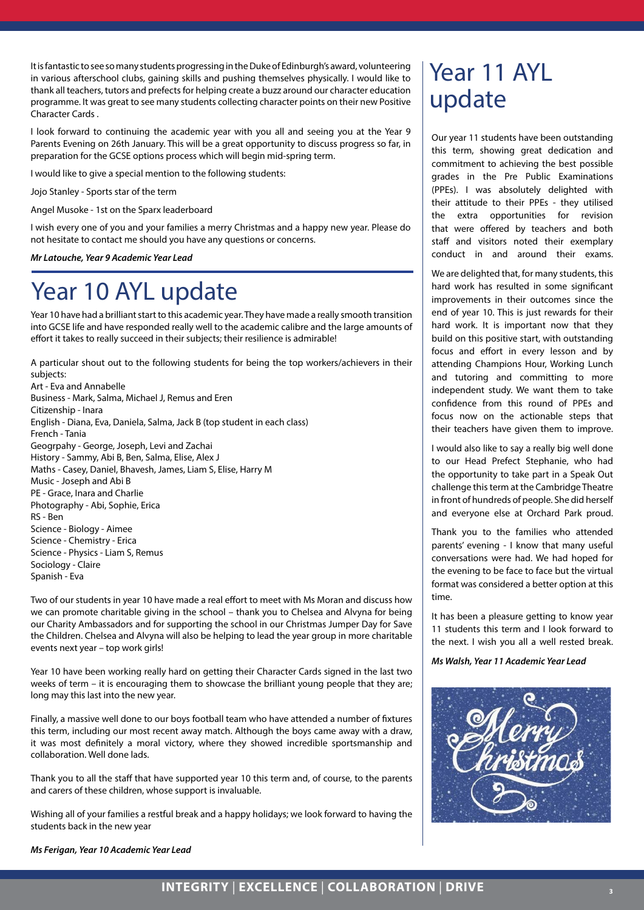It is fantastic to see so many students progressing in the Duke of Edinburgh's award, volunteering in various afterschool clubs, gaining skills and pushing themselves physically. I would like to thank all teachers, tutors and prefects for helping create a buzz around our character education programme. It was great to see many students collecting character points on their new Positive Character Cards .

I look forward to continuing the academic year with you all and seeing you at the Year 9 Parents Evening on 26th January. This will be a great opportunity to discuss progress so far, in preparation for the GCSE options process which will begin mid-spring term.

I would like to give a special mention to the following students:

Jojo Stanley - Sports star of the term

Angel Musoke - 1st on the Sparx leaderboard

I wish every one of you and your families a merry Christmas and a happy new year. Please do not hesitate to contact me should you have any questions or concerns.

*Mr Latouche, Year 9 Academic Year Lead*

#### Year 10 AYL update

Year 10 have had a brilliant start to this academic year. They have made a really smooth transition into GCSE life and have responded really well to the academic calibre and the large amounts of effort it takes to really succeed in their subjects; their resilience is admirable!

A particular shout out to the following students for being the top workers/achievers in their subjects: Art - Eva and Annabelle Business - Mark, Salma, Michael J, Remus and Eren Citizenship - Inara English - Diana, Eva, Daniela, Salma, Jack B (top student in each class) French - Tania Geogrpahy - George, Joseph, Levi and Zachai History - Sammy, Abi B, Ben, Salma, Elise, Alex J Maths - Casey, Daniel, Bhavesh, James, Liam S, Elise, Harry M Music - Joseph and Abi B PE - Grace, Inara and Charlie Photography - Abi, Sophie, Erica RS - Ben Science - Biology - Aimee Science - Chemistry - Erica Science - Physics - Liam S, Remus Sociology - Claire Spanish - Eva

Two of our students in year 10 have made a real effort to meet with Ms Moran and discuss how we can promote charitable giving in the school – thank you to Chelsea and Alvyna for being our Charity Ambassadors and for supporting the school in our Christmas Jumper Day for Save the Children. Chelsea and Alvyna will also be helping to lead the year group in more charitable events next year – top work girls!

Year 10 have been working really hard on getting their Character Cards signed in the last two weeks of term – it is encouraging them to showcase the brilliant young people that they are; long may this last into the new year.

Finally, a massive well done to our boys football team who have attended a number of fixtures this term, including our most recent away match. Although the boys came away with a draw, it was most definitely a moral victory, where they showed incredible sportsmanship and collaboration. Well done lads.

Thank you to all the staff that have supported year 10 this term and, of course, to the parents and carers of these children, whose support is invaluable.

Wishing all of your families a restful break and a happy holidays; we look forward to having the students back in the new year

#### Year 11 AYL update

Our year 11 students have been outstanding this term, showing great dedication and commitment to achieving the best possible grades in the Pre Public Examinations (PPEs). I was absolutely delighted with their attitude to their PPEs - they utilised the extra opportunities for revision that were offered by teachers and both staff and visitors noted their exemplary conduct in and around their exams.

We are delighted that, for many students, this hard work has resulted in some significant improvements in their outcomes since the end of year 10. This is just rewards for their hard work. It is important now that they build on this positive start, with outstanding focus and effort in every lesson and by attending Champions Hour, Working Lunch and tutoring and committing to more independent study. We want them to take confidence from this round of PPEs and focus now on the actionable steps that their teachers have given them to improve.

I would also like to say a really big well done to our Head Prefect Stephanie, who had the opportunity to take part in a Speak Out challenge this term at the Cambridge Theatre in front of hundreds of people. She did herself and everyone else at Orchard Park proud.

Thank you to the families who attended parents' evening - I know that many useful conversations were had. We had hoped for the evening to be face to face but the virtual format was considered a better option at this time.

It has been a pleasure getting to know year 11 students this term and I look forward to the next. I wish you all a well rested break.

*Ms Walsh, Year 11 Academic Year Lead*



*Ms Ferigan, Year 10 Academic Year Lead*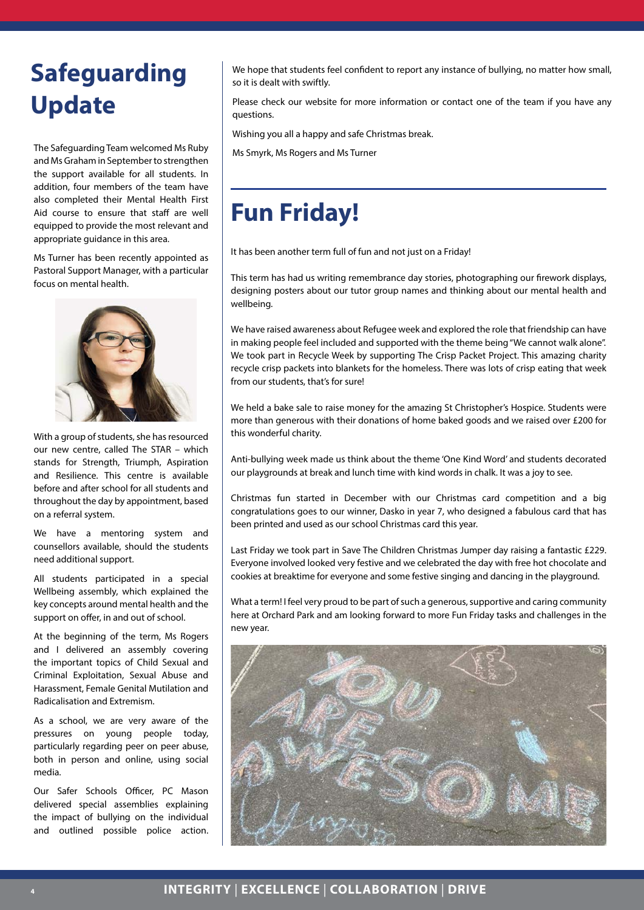#### **Safeguarding Update**

The Safeguarding Team welcomed Ms Ruby and Ms Graham in September to strengthen the support available for all students. In addition, four members of the team have also completed their Mental Health First Aid course to ensure that staff are well equipped to provide the most relevant and appropriate guidance in this area.

Ms Turner has been recently appointed as Pastoral Support Manager, with a particular focus on mental health.



With a group of students, she has resourced our new centre, called The STAR – which stands for Strength, Triumph, Aspiration and Resilience. This centre is available before and after school for all students and throughout the day by appointment, based on a referral system.

We have a mentoring system and counsellors available, should the students need additional support.

All students participated in a special Wellbeing assembly, which explained the key concepts around mental health and the support on offer, in and out of school.

At the beginning of the term, Ms Rogers and I delivered an assembly covering the important topics of Child Sexual and Criminal Exploitation, Sexual Abuse and Harassment, Female Genital Mutilation and Radicalisation and Extremism.

As a school, we are very aware of the pressures on young people today, particularly regarding peer on peer abuse, both in person and online, using social media.

Our Safer Schools Officer, PC Mason delivered special assemblies explaining the impact of bullying on the individual and outlined possible police action.

We hope that students feel confident to report any instance of bullying, no matter how small, so it is dealt with swiftly.

Please check our website for more information or contact one of the team if you have any questions.

Wishing you all a happy and safe Christmas break.

Ms Smyrk, Ms Rogers and Ms Turner

#### **Fun Friday!**

It has been another term full of fun and not just on a Friday!

This term has had us writing remembrance day stories, photographing our firework displays, designing posters about our tutor group names and thinking about our mental health and wellbeing.

We have raised awareness about Refugee week and explored the role that friendship can have in making people feel included and supported with the theme being "We cannot walk alone". We took part in Recycle Week by supporting The Crisp Packet Project. This amazing charity recycle crisp packets into blankets for the homeless. There was lots of crisp eating that week from our students, that's for sure!

We held a bake sale to raise money for the amazing St Christopher's Hospice. Students were more than generous with their donations of home baked goods and we raised over £200 for this wonderful charity.

Anti-bullying week made us think about the theme 'One Kind Word' and students decorated our playgrounds at break and lunch time with kind words in chalk. It was a joy to see.

Christmas fun started in December with our Christmas card competition and a big congratulations goes to our winner, Dasko in year 7, who designed a fabulous card that has been printed and used as our school Christmas card this year.

Last Friday we took part in Save The Children Christmas Jumper day raising a fantastic £229. Everyone involved looked very festive and we celebrated the day with free hot chocolate and cookies at breaktime for everyone and some festive singing and dancing in the playground.

What a term! I feel very proud to be part of such a generous, supportive and caring community here at Orchard Park and am looking forward to more Fun Friday tasks and challenges in the new year.

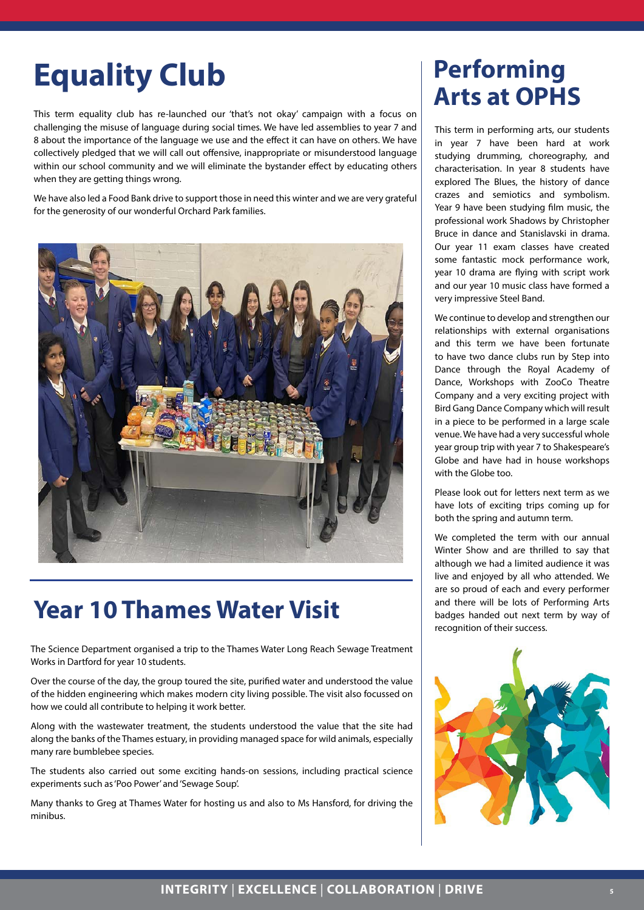### **Equality Club** Performing

This term equality club has re-launched our 'that's not okay' campaign with a focus on challenging the misuse of language during social times. We have led assemblies to year 7 and 8 about the importance of the language we use and the effect it can have on others. We have collectively pledged that we will call out offensive, inappropriate or misunderstood language within our school community and we will eliminate the bystander effect by educating others when they are getting things wrong.

We have also led a Food Bank drive to support those in need this winter and we are very grateful for the generosity of our wonderful Orchard Park families.



#### **Year 10 Thames Water Visit**

The Science Department organised a trip to the Thames Water Long Reach Sewage Treatment Works in Dartford for year 10 students.

Over the course of the day, the group toured the site, purified water and understood the value of the hidden engineering which makes modern city living possible. The visit also focussed on how we could all contribute to helping it work better.

Along with the wastewater treatment, the students understood the value that the site had along the banks of the Thames estuary, in providing managed space for wild animals, especially many rare bumblebee species.

The students also carried out some exciting hands-on sessions, including practical science experiments such as 'Poo Power' and 'Sewage Soup'.

Many thanks to Greg at Thames Water for hosting us and also to Ms Hansford, for driving the minibus.

# **Arts at OPHS**

in year 7 have been hard at work studying drumming, choreography, and characterisation. In year 8 students have explored The Blues, the history of dance crazes and semiotics and symbolism. Year 9 have been studying film music, the professional work Shadows by Christopher Bruce in dance and Stanislavski in drama. Our year 11 exam classes have created some fantastic mock performance work, year 10 drama are flying with script work and our year 10 music class have formed a very impressive Steel Band.

We continue to develop and strengthen our relationships with external organisations and this term we have been fortunate to have two dance clubs run by Step into Dance through the Royal Academy of Dance, Workshops with ZooCo Theatre Company and a very exciting project with Bird Gang Dance Company which will result in a piece to be performed in a large scale venue. We have had a very successful whole year group trip with year 7 to Shakespeare's Globe and have had in house workshops with the Globe too.

Please look out for letters next term as we have lots of exciting trips coming up for both the spring and autumn term.

We completed the term with our annual Winter Show and are thrilled to say that although we had a limited audience it was live and enjoyed by all who attended. We are so proud of each and every performer and there will be lots of Performing Arts badges handed out next term by way of recognition of their success.